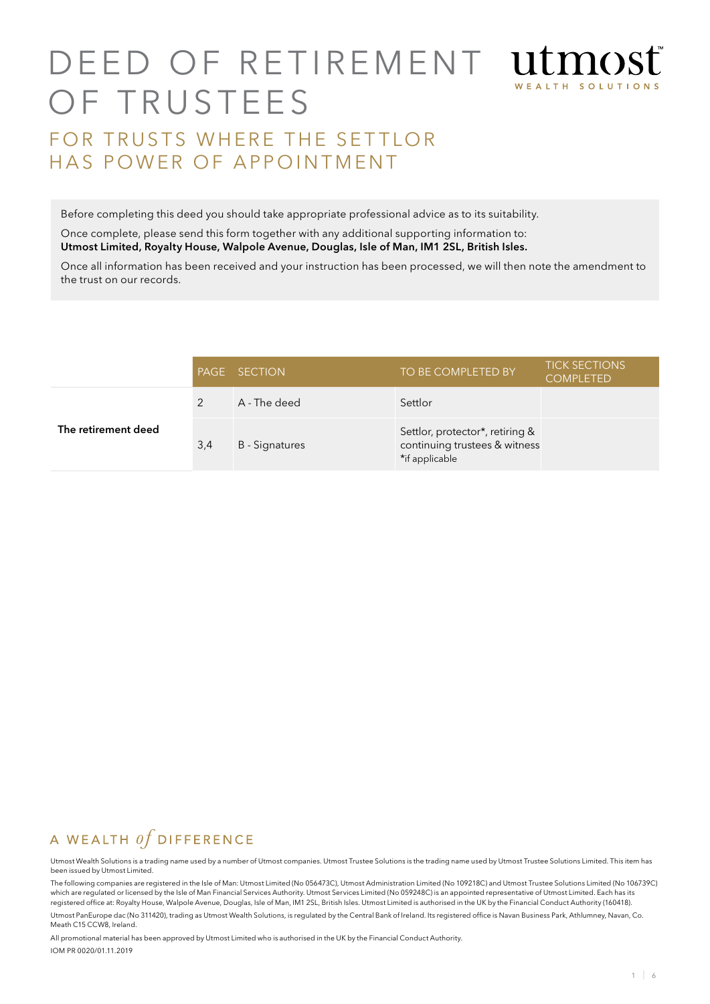# D E ED OF RETIREMENT ULMOS WEALTH SOLUTIO OF TRUSTEES FOR TRUSTS WHERE THE SETTLOR HAS POWER OF APPOINTMENT

Before completing this deed you should take appropriate professional advice as to its suitability.

Once complete, please send this form together with any additional supporting information to: Utmost Limited, Royalty House, Walpole Avenue, Douglas, Isle of Man, IM1 2SL, British Isles.

Once all information has been received and your instruction has been processed, we will then note the amendment to the trust on our records.

|                     |     | <b>PAGE SECTION</b> | TO BE COMPLETED BY                                                                 | <b>TICK SECTIONS</b><br><b>COMPLETED</b> |
|---------------------|-----|---------------------|------------------------------------------------------------------------------------|------------------------------------------|
|                     |     | A - The deed        | Settlor                                                                            |                                          |
| The retirement deed | 3,4 | B - Signatures      | Settlor, protector*, retiring &<br>continuing trustees & witness<br>*if applicable |                                          |

## A WEALTH  $of$  DIFFERENCE

Utmost Wealth Solutions is a trading name used by a number of Utmost companies. Utmost Trustee Solutions is the trading name used by Utmost Trustee Solutions Limited. This item has been issued by Utmost Limited.

The following companies are registered in the Isle of Man: Utmost Limited (No 056473C), Utmost Administration Limited (No 109218C) and Utmost Trustee Solutions Limited (No 106739C) which are regulated or licensed by the Isle of Man Financial Services Authority. Utmost Services Limited (No 059248C) is an appointed representative of Utmost Limited. Each has its registered office at: Royalty House, Walpole Avenue, Douglas, Isle of Man, IM1 2SL, British Isles. Utmost Limited is authorised in the UK by the Financial Conduct Authority (160418).

Utmost PanEurope dac (No 311420), trading as Utmost Wealth Solutions, is regulated by the Central Bank of Ireland. Its registered office is Navan Business Park, Athlumney, Navan, Co. Meath C15 CCW8, Ireland.

All promotional material has been approved by Utmost Limited who is authorised in the UK by the Financial Conduct Authority. IOM PR 0020/01.11.2019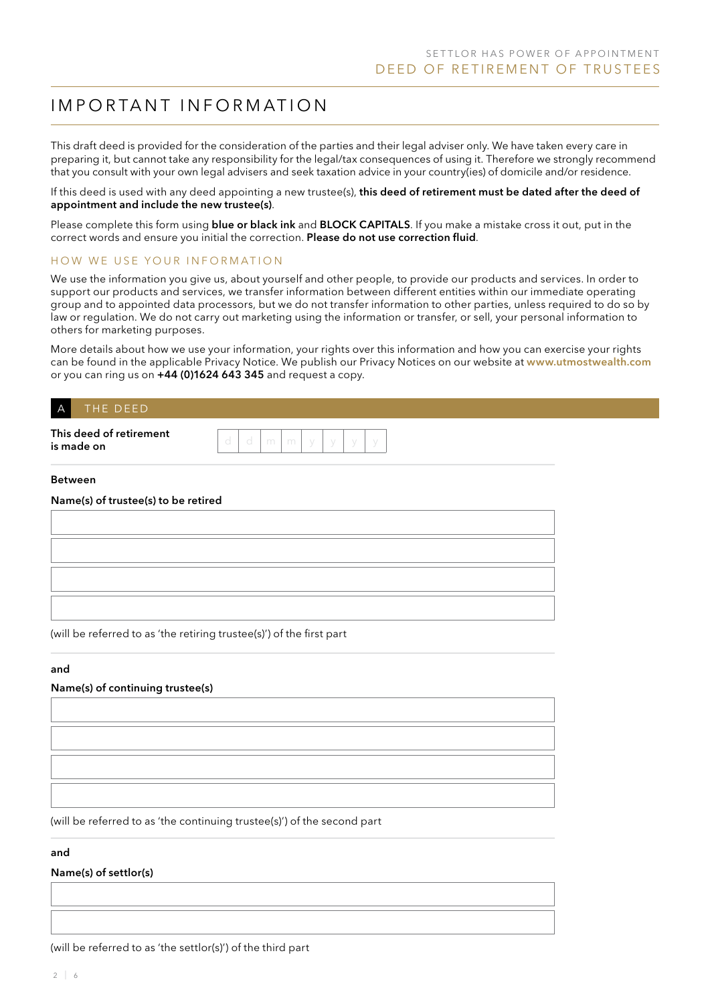## IMPORTANT INFORMATION

This draft deed is provided for the consideration of the parties and their legal adviser only. We have taken every care in preparing it, but cannot take any responsibility for the legal/tax consequences of using it. Therefore we strongly recommend that you consult with your own legal advisers and seek taxation advice in your country(ies) of domicile and/or residence.

If this deed is used with any deed appointing a new trustee(s), this deed of retirement must be dated after the deed of appointment and include the new trustee(s).

Please complete this form using **blue or black ink** and **BLOCK CAPITALS**. If you make a mistake cross it out, put in the correct words and ensure you initial the correction. Please do not use correction fluid.

#### HOW WE USE YOUR INFORMATION

We use the information you give us, about yourself and other people, to provide our products and services. In order to support our products and services, we transfer information between different entities within our immediate operating group and to appointed data processors, but we do not transfer information to other parties, unless required to do so by law or regulation. We do not carry out marketing using the information or transfer, or sell, your personal information to others for marketing purposes.

More details about how we use your information, your rights over this information and how you can exercise your rights can be found in the applicable Privacy Notice. We publish our Privacy Notices on our website at www.utmostwealth.com or you can ring us on +44 (0)1624 643 345 and request a copy.

### THE DEED

| This deed of retirement |  |  |  |  |
|-------------------------|--|--|--|--|
|                         |  |  |  |  |
| is made on              |  |  |  |  |

#### **Between**

| Name(s) of trustee(s) to be retired |  |
|-------------------------------------|--|
|                                     |  |

(will be referred to as 'the retiring trustee(s)') of the first part

#### and

#### Name(s) of continuing trustee(s)

(will be referred to as 'the continuing trustee(s)') of the second part

#### and

Name(s) of settlor(s)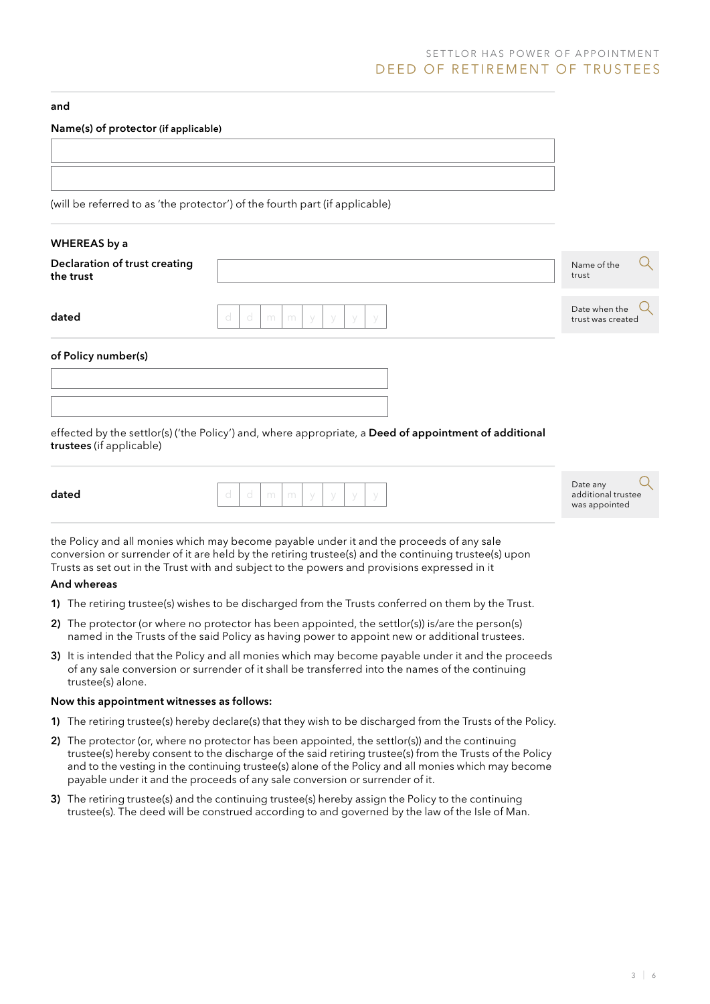## SETTLOR HAS POWER OF APPOINTMENT DEED OF RETIREMENT OF TRUSTEES

#### and

#### Name(s) of protector (if applicable)

| (will be referred to as 'the protector') of the fourth part (if applicable) |  |
|-----------------------------------------------------------------------------|--|

#### WHEREAS by a

| Declaration of trust creating |  |
|-------------------------------|--|
| the trust                     |  |

dated d d d m m y y y y

Name of the trust

Date when the trust was created



of Policy number(s)

effected by the settlor(s) ('the Policy') and, where appropriate, a Deed of appointment of additional trustees (if applicable)

| . . | . .<br>× | ×<br>۰<br>w<br>۰, | . .<br>× |  |
|-----|----------|-------------------|----------|--|
|     |          |                   |          |  |

| dated | -<br>$\sim$ | <b>ANTICO</b> | <b>International</b> |  |  |
|-------|-------------|---------------|----------------------|--|--|
|       |             |               |                      |  |  |

| Date any           |  |
|--------------------|--|
| additional trustee |  |
| was appointed      |  |

the Policy and all monies which may become payable under it and the proceeds of any sale conversion or surrender of it are held by the retiring trustee(s) and the continuing trustee(s) upon Trusts as set out in the Trust with and subject to the powers and provisions expressed in it

#### And whereas

- 1) The retiring trustee(s) wishes to be discharged from the Trusts conferred on them by the Trust.
- 2) The protector (or where no protector has been appointed, the settlor(s)) is/are the person(s) named in the Trusts of the said Policy as having power to appoint new or additional trustees.
- 3) It is intended that the Policy and all monies which may become payable under it and the proceeds of any sale conversion or surrender of it shall be transferred into the names of the continuing trustee(s) alone.

#### Now this appointment witnesses as follows:

- 1) The retiring trustee(s) hereby declare(s) that they wish to be discharged from the Trusts of the Policy.
- 2) The protector (or, where no protector has been appointed, the settlor(s)) and the continuing trustee(s) hereby consent to the discharge of the said retiring trustee(s) from the Trusts of the Policy and to the vesting in the continuing trustee(s) alone of the Policy and all monies which may become payable under it and the proceeds of any sale conversion or surrender of it.
- 3) The retiring trustee(s) and the continuing trustee(s) hereby assign the Policy to the continuing trustee(s). The deed will be construed according to and governed by the law of the Isle of Man.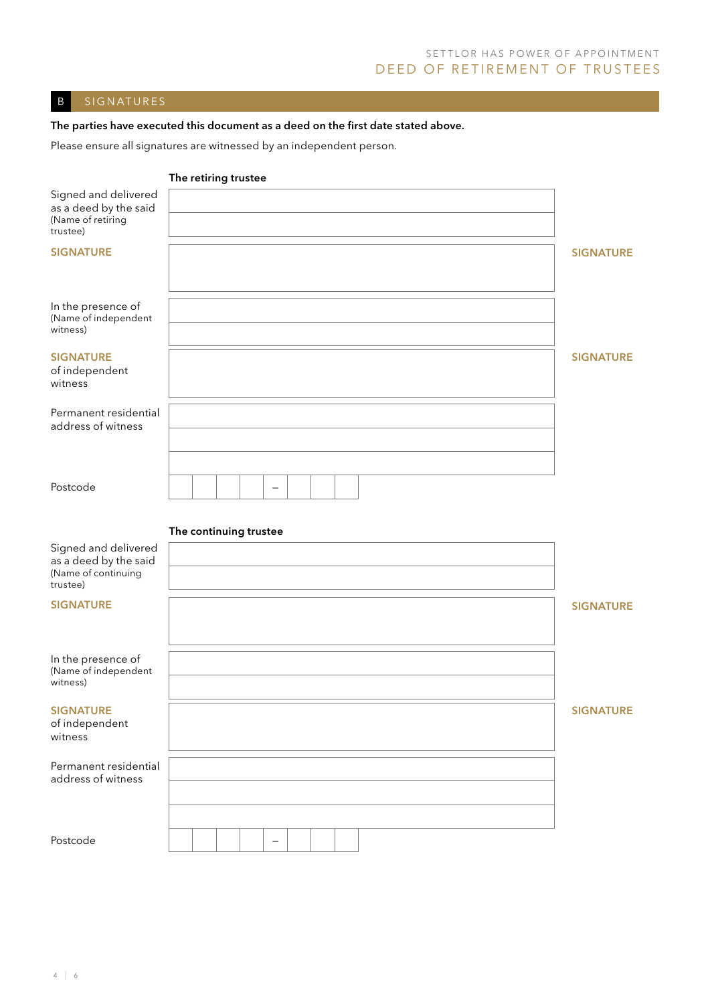## SETTLOR HAS POWER OF APPOINTMENT DEED OF RETIREMENT OF TRUSTEES

## B SIGNATURES

### The parties have executed this document as a deed on the first date stated above.

Please ensure all signatures are witnessed by an independent person.

|                                                                                  | The retiring trustee   |  |                   |  |  |  |  |                  |
|----------------------------------------------------------------------------------|------------------------|--|-------------------|--|--|--|--|------------------|
| Signed and delivered<br>as a deed by the said<br>(Name of retiring<br>trustee)   |                        |  |                   |  |  |  |  |                  |
| <b>SIGNATURE</b>                                                                 |                        |  |                   |  |  |  |  | <b>SIGNATURE</b> |
| In the presence of<br>(Name of independent<br>witness)                           |                        |  |                   |  |  |  |  |                  |
| <b>SIGNATURE</b><br>of independent<br>witness                                    |                        |  |                   |  |  |  |  | <b>SIGNATURE</b> |
| Permanent residential<br>address of witness                                      |                        |  |                   |  |  |  |  |                  |
| Postcode                                                                         |                        |  | $\qquad \qquad -$ |  |  |  |  |                  |
|                                                                                  | The continuing trustee |  |                   |  |  |  |  |                  |
| Signed and delivered<br>as a deed by the said<br>(Name of continuing<br>trustee) |                        |  |                   |  |  |  |  |                  |
| <b>SIGNATURE</b>                                                                 |                        |  |                   |  |  |  |  | <b>SIGNATURE</b> |
| In the presence of<br>(Name of independent<br>witness)                           |                        |  |                   |  |  |  |  |                  |
| <b>SIGNATURE</b><br>of independent<br>witness                                    |                        |  |                   |  |  |  |  | <b>SIGNATURE</b> |
| Permanent residential<br>address of witness                                      |                        |  |                   |  |  |  |  |                  |
| Postcode                                                                         |                        |  | $\qquad \qquad -$ |  |  |  |  |                  |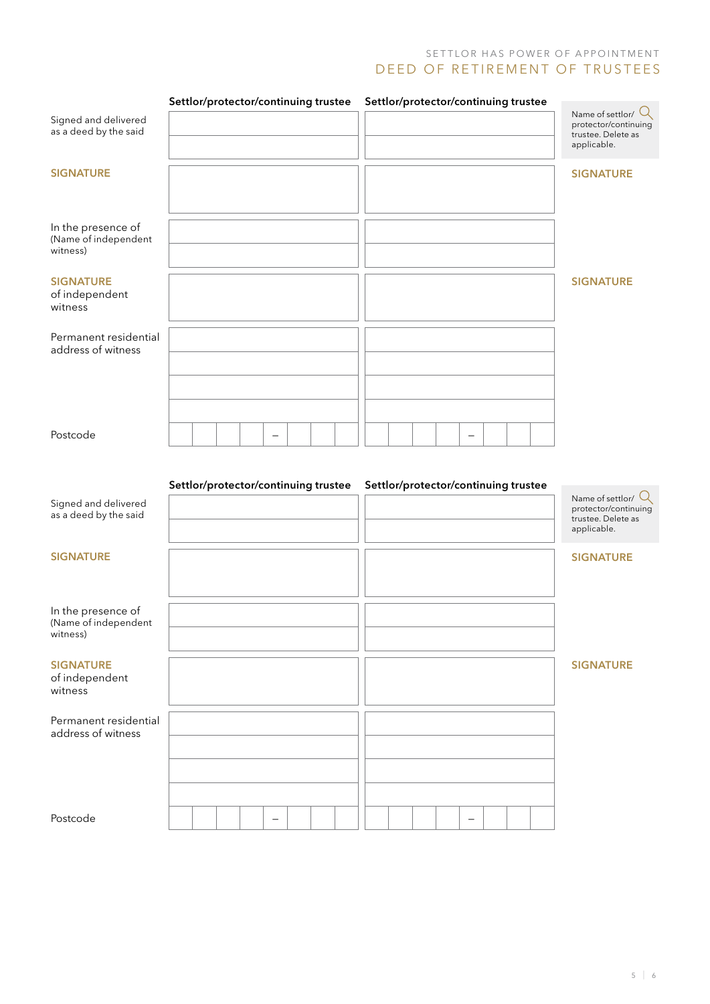## SETTLOR HAS POWER OF APPOINTMENT D E ED OF RETIREMENT OF TRUSTEES

|                                                        |  | Settlor/protector/continuing trustee |  |  |  | Settlor/protector/continuing trustee |  |  |                                                                                   |
|--------------------------------------------------------|--|--------------------------------------|--|--|--|--------------------------------------|--|--|-----------------------------------------------------------------------------------|
| Signed and delivered<br>as a deed by the said          |  |                                      |  |  |  |                                      |  |  | Name of settlor/ $Q$<br>protector/continuing<br>trustee. Delete as<br>applicable. |
| <b>SIGNATURE</b>                                       |  |                                      |  |  |  |                                      |  |  | <b>SIGNATURE</b>                                                                  |
| In the presence of<br>(Name of independent<br>witness) |  |                                      |  |  |  |                                      |  |  |                                                                                   |
| <b>SIGNATURE</b><br>of independent<br>witness          |  |                                      |  |  |  |                                      |  |  | <b>SIGNATURE</b>                                                                  |
| Permanent residential<br>address of witness            |  |                                      |  |  |  |                                      |  |  |                                                                                   |
| Postcode                                               |  |                                      |  |  |  |                                      |  |  |                                                                                   |
| Signed and delivered<br>as a deed by the said          |  | Settlor/protector/continuing trustee |  |  |  | Settlor/protector/continuing trustee |  |  | Name of settlor/ $Q$<br>protector/continuing<br>trustee. Delete as                |
| <b>SIGNATURE</b>                                       |  |                                      |  |  |  |                                      |  |  | applicable.<br><b>SIGNATURE</b>                                                   |
| In the presence of<br>(Name of independent<br>witness) |  |                                      |  |  |  |                                      |  |  |                                                                                   |
| <b>SIGNATURE</b><br>of independent<br>witness          |  |                                      |  |  |  |                                      |  |  | <b>SIGNATURE</b>                                                                  |
| Permanent residential<br>address of witness            |  |                                      |  |  |  |                                      |  |  |                                                                                   |
|                                                        |  |                                      |  |  |  |                                      |  |  |                                                                                   |
| Postcode                                               |  |                                      |  |  |  |                                      |  |  |                                                                                   |